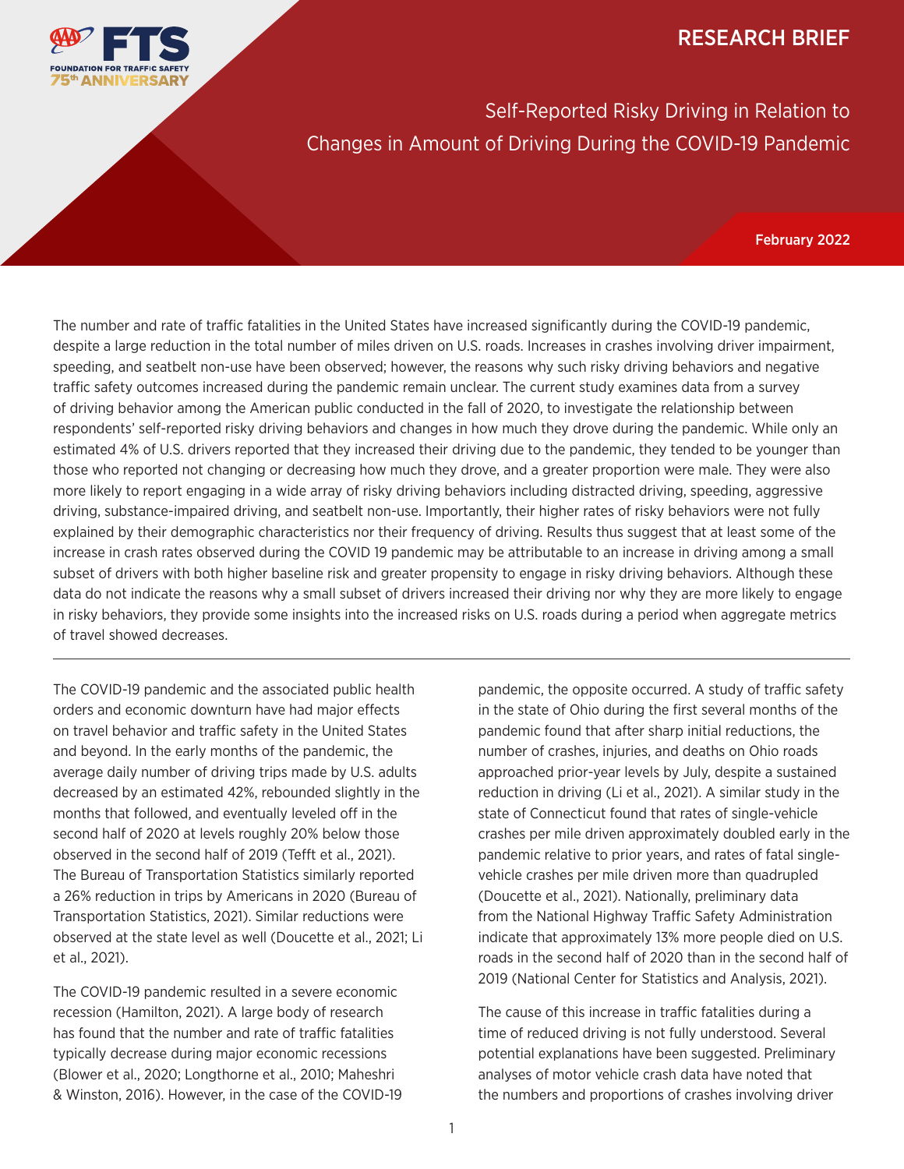#### RESEARCH BRIEF



Self-Reported Risky Driving in Relation to Changes in Amount of Driving During the COVID-19 Pandemic

February 2022

The number and rate of traffic fatalities in the United States have increased significantly during the COVID-19 pandemic, despite a large reduction in the total number of miles driven on U.S. roads. Increases in crashes involving driver impairment, speeding, and seatbelt non-use have been observed; however, the reasons why such risky driving behaviors and negative traffic safety outcomes increased during the pandemic remain unclear. The current study examines data from a survey of driving behavior among the American public conducted in the fall of 2020, to investigate the relationship between respondents' self-reported risky driving behaviors and changes in how much they drove during the pandemic. While only an estimated 4% of U.S. drivers reported that they increased their driving due to the pandemic, they tended to be younger than those who reported not changing or decreasing how much they drove, and a greater proportion were male. They were also more likely to report engaging in a wide array of risky driving behaviors including distracted driving, speeding, aggressive driving, substance-impaired driving, and seatbelt non-use. Importantly, their higher rates of risky behaviors were not fully explained by their demographic characteristics nor their frequency of driving. Results thus suggest that at least some of the increase in crash rates observed during the COVID 19 pandemic may be attributable to an increase in driving among a small subset of drivers with both higher baseline risk and greater propensity to engage in risky driving behaviors. Although these data do not indicate the reasons why a small subset of drivers increased their driving nor why they are more likely to engage in risky behaviors, they provide some insights into the increased risks on U.S. roads during a period when aggregate metrics of travel showed decreases.

The COVID-19 pandemic and the associated public health orders and economic downturn have had major effects on travel behavior and traffic safety in the United States and beyond. In the early months of the pandemic, the average daily number of driving trips made by U.S. adults decreased by an estimated 42%, rebounded slightly in the months that followed, and eventually leveled off in the second half of 2020 at levels roughly 20% below those observed in the second half of 2019 (Tefft et al., 2021). The Bureau of Transportation Statistics similarly reported a 26% reduction in trips by Americans in 2020 (Bureau of Transportation Statistics, 2021). Similar reductions were observed at the state level as well (Doucette et al., 2021; Li et al., 2021).

The COVID-19 pandemic resulted in a severe economic recession (Hamilton, 2021). A large body of research has found that the number and rate of traffic fatalities typically decrease during major economic recessions (Blower et al., 2020; Longthorne et al., 2010; Maheshri & Winston, 2016). However, in the case of the COVID-19 pandemic, the opposite occurred. A study of traffic safety in the state of Ohio during the first several months of the pandemic found that after sharp initial reductions, the number of crashes, injuries, and deaths on Ohio roads approached prior-year levels by July, despite a sustained reduction in driving (Li et al., 2021). A similar study in the state of Connecticut found that rates of single-vehicle crashes per mile driven approximately doubled early in the pandemic relative to prior years, and rates of fatal singlevehicle crashes per mile driven more than quadrupled (Doucette et al., 2021). Nationally, preliminary data from the National Highway Traffic Safety Administration indicate that approximately 13% more people died on U.S. roads in the second half of 2020 than in the second half of 2019 (National Center for Statistics and Analysis, 2021).

The cause of this increase in traffic fatalities during a time of reduced driving is not fully understood. Several potential explanations have been suggested. Preliminary analyses of motor vehicle crash data have noted that the numbers and proportions of crashes involving driver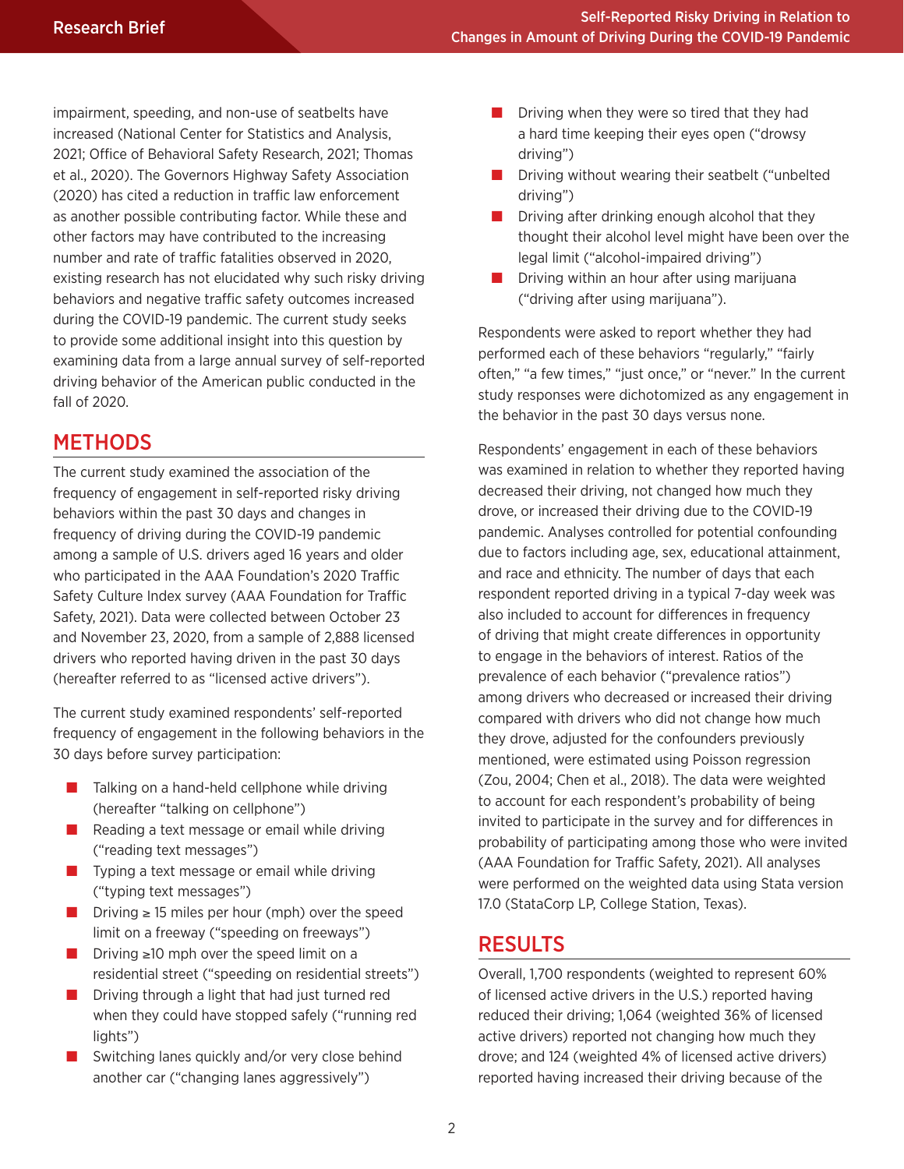impairment, speeding, and non-use of seatbelts have increased (National Center for Statistics and Analysis, 2021; Office of Behavioral Safety Research, 2021; Thomas et al., 2020). The Governors Highway Safety Association (2020) has cited a reduction in traffic law enforcement as another possible contributing factor. While these and other factors may have contributed to the increasing number and rate of traffic fatalities observed in 2020, existing research has not elucidated why such risky driving behaviors and negative traffic safety outcomes increased during the COVID-19 pandemic. The current study seeks to provide some additional insight into this question by examining data from a large annual survey of self-reported driving behavior of the American public conducted in the fall of 2020.

## METHODS

The current study examined the association of the frequency of engagement in self-reported risky driving behaviors within the past 30 days and changes in frequency of driving during the COVID-19 pandemic among a sample of U.S. drivers aged 16 years and older who participated in the AAA Foundation's 2020 Traffic Safety Culture Index survey (AAA Foundation for Traffic Safety, 2021). Data were collected between October 23 and November 23, 2020, from a sample of 2,888 licensed drivers who reported having driven in the past 30 days (hereafter referred to as "licensed active drivers").

The current study examined respondents' self-reported frequency of engagement in the following behaviors in the 30 days before survey participation:

- Talking on a hand-held cellphone while driving (hereafter "talking on cellphone")
- Reading a text message or email while driving ("reading text messages")
- Typing a text message or email while driving ("typing text messages")
- Driving  $\geq$  15 miles per hour (mph) over the speed limit on a freeway ("speeding on freeways")
- Driving ≥10 mph over the speed limit on a residential street ("speeding on residential streets")
- Driving through a light that had just turned red when they could have stopped safely ("running red lights")
- Switching lanes quickly and/or very close behind another car ("changing lanes aggressively")
- Driving when they were so tired that they had a hard time keeping their eyes open ("drowsy driving")
- Driving without wearing their seatbelt ("unbelted driving")
- $\blacksquare$  Driving after drinking enough alcohol that they thought their alcohol level might have been over the legal limit ("alcohol-impaired driving")
- Driving within an hour after using marijuana ("driving after using marijuana").

Respondents were asked to report whether they had performed each of these behaviors "regularly," "fairly often," "a few times," "just once," or "never." In the current study responses were dichotomized as any engagement in the behavior in the past 30 days versus none.

Respondents' engagement in each of these behaviors was examined in relation to whether they reported having decreased their driving, not changed how much they drove, or increased their driving due to the COVID-19 pandemic. Analyses controlled for potential confounding due to factors including age, sex, educational attainment, and race and ethnicity. The number of days that each respondent reported driving in a typical 7-day week was also included to account for differences in frequency of driving that might create differences in opportunity to engage in the behaviors of interest. Ratios of the prevalence of each behavior ("prevalence ratios") among drivers who decreased or increased their driving compared with drivers who did not change how much they drove, adjusted for the confounders previously mentioned, were estimated using Poisson regression (Zou, 2004; Chen et al., 2018). The data were weighted to account for each respondent's probability of being invited to participate in the survey and for differences in probability of participating among those who were invited (AAA Foundation for Traffic Safety, 2021). All analyses were performed on the weighted data using Stata version 17.0 (StataCorp LP, College Station, Texas).

### RESULTS

Overall, 1,700 respondents (weighted to represent 60% of licensed active drivers in the U.S.) reported having reduced their driving; 1,064 (weighted 36% of licensed active drivers) reported not changing how much they drove; and 124 (weighted 4% of licensed active drivers) reported having increased their driving because of the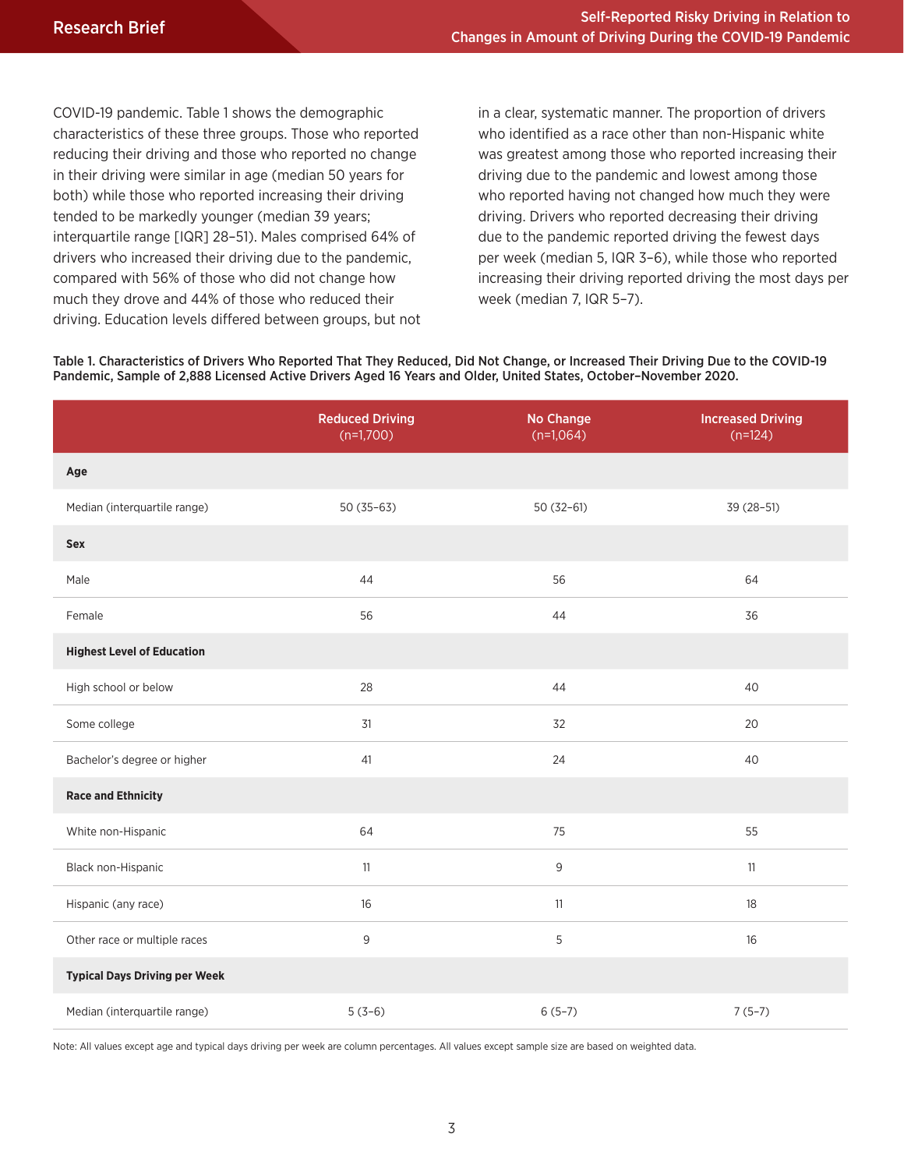COVID-19 pandemic. Table 1 shows the demographic characteristics of these three groups. Those who reported reducing their driving and those who reported no change in their driving were similar in age (median 50 years for both) while those who reported increasing their driving tended to be markedly younger (median 39 years; interquartile range [IQR] 28–51). Males comprised 64% of drivers who increased their driving due to the pandemic, compared with 56% of those who did not change how much they drove and 44% of those who reduced their driving. Education levels differed between groups, but not in a clear, systematic manner. The proportion of drivers who identified as a race other than non-Hispanic white was greatest among those who reported increasing their driving due to the pandemic and lowest among those who reported having not changed how much they were driving. Drivers who reported decreasing their driving due to the pandemic reported driving the fewest days per week (median 5, IQR 3–6), while those who reported increasing their driving reported driving the most days per week (median 7, IQR 5–7).

Table 1. Characteristics of Drivers Who Reported That They Reduced, Did Not Change, or Increased Their Driving Due to the COVID-19 Pandemic, Sample of 2,888 Licensed Active Drivers Aged 16 Years and Older, United States, October–November 2020.

|                                      | <b>Reduced Driving</b><br>$(n=1,700)$ | No Change<br>$(n=1,064)$ | <b>Increased Driving</b><br>$(n=124)$ |  |
|--------------------------------------|---------------------------------------|--------------------------|---------------------------------------|--|
| Age                                  |                                       |                          |                                       |  |
| Median (interquartile range)         | $50(35-63)$                           | $50(32-61)$              | 39 (28-51)                            |  |
| Sex                                  |                                       |                          |                                       |  |
| Male                                 | 44                                    | 56                       | 64                                    |  |
| Female                               | 56                                    | 44                       | 36                                    |  |
| <b>Highest Level of Education</b>    |                                       |                          |                                       |  |
| High school or below                 | 28                                    | 44                       | 40                                    |  |
| Some college                         | 31                                    | 32                       | 20                                    |  |
| Bachelor's degree or higher          | 41                                    | 24                       | 40                                    |  |
| <b>Race and Ethnicity</b>            |                                       |                          |                                       |  |
| White non-Hispanic                   | 64                                    | 75                       | 55                                    |  |
| Black non-Hispanic                   | 11                                    | 9                        | 11                                    |  |
| Hispanic (any race)                  | 16                                    | 11                       | 18                                    |  |
| Other race or multiple races         | 9                                     | 5                        | 16                                    |  |
| <b>Typical Days Driving per Week</b> |                                       |                          |                                       |  |
| Median (interquartile range)         | $5(3-6)$                              | $6(5-7)$                 | $7(5-7)$                              |  |

Note: All values except age and typical days driving per week are column percentages. All values except sample size are based on weighted data.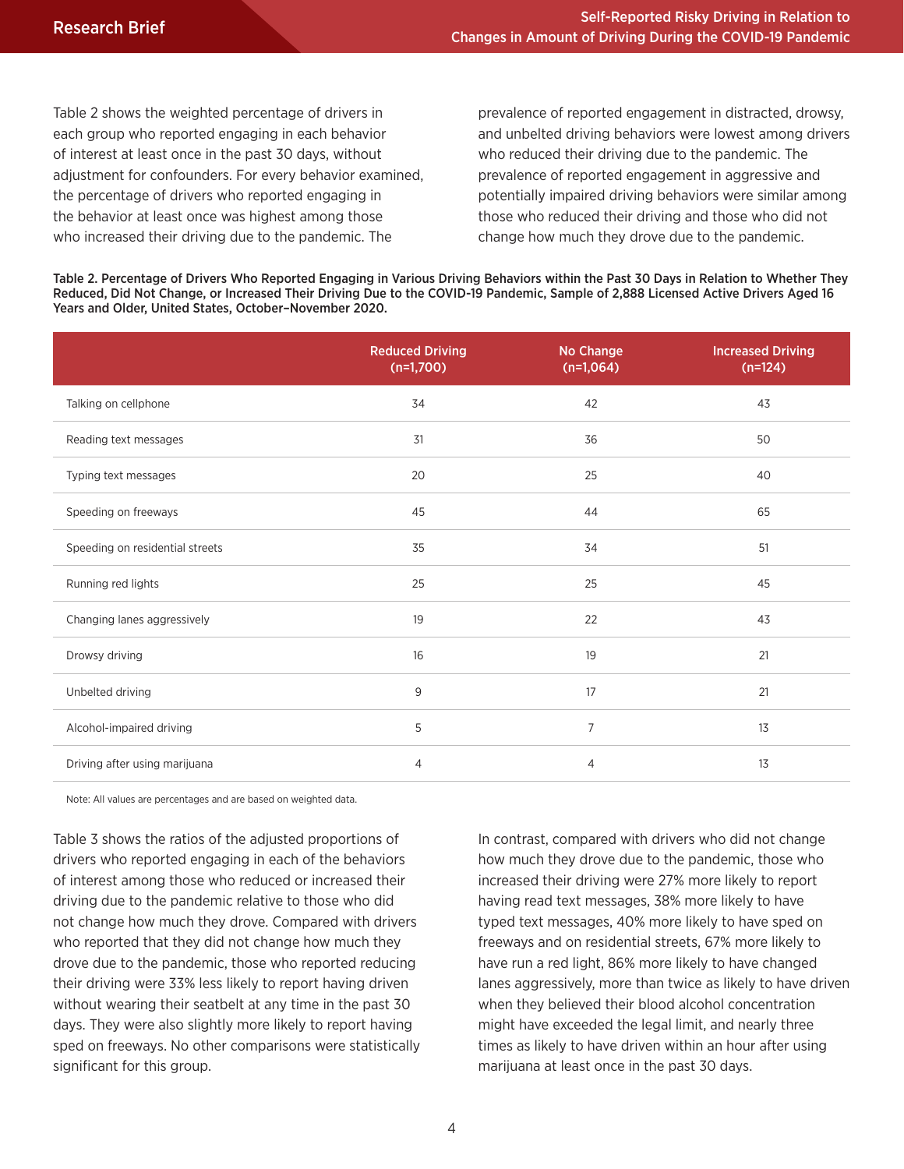Table 2 shows the weighted percentage of drivers in each group who reported engaging in each behavior of interest at least once in the past 30 days, without adjustment for confounders. For every behavior examined, the percentage of drivers who reported engaging in the behavior at least once was highest among those who increased their driving due to the pandemic. The

prevalence of reported engagement in distracted, drowsy, and unbelted driving behaviors were lowest among drivers who reduced their driving due to the pandemic. The prevalence of reported engagement in aggressive and potentially impaired driving behaviors were similar among those who reduced their driving and those who did not change how much they drove due to the pandemic.

Table 2. Percentage of Drivers Who Reported Engaging in Various Driving Behaviors within the Past 30 Days in Relation to Whether They Reduced, Did Not Change, or Increased Their Driving Due to the COVID-19 Pandemic, Sample of 2,888 Licensed Active Drivers Aged 16 Years and Older, United States, October–November 2020.

|                                 | <b>Reduced Driving</b><br>$(n=1,700)$ | <b>No Change</b><br>$(n=1,064)$ | <b>Increased Driving</b><br>$(n=124)$ |
|---------------------------------|---------------------------------------|---------------------------------|---------------------------------------|
| Talking on cellphone            | 34                                    | 42                              | 43                                    |
| Reading text messages           | 31                                    | 36                              | 50                                    |
| Typing text messages            | 20                                    | 25                              | 40                                    |
| Speeding on freeways            | 45                                    | 44                              | 65                                    |
| Speeding on residential streets | 35                                    | 34                              | 51                                    |
| Running red lights              | 25                                    | 25                              | 45                                    |
| Changing lanes aggressively     | 19                                    | 22                              | 43                                    |
| Drowsy driving                  | 16                                    | 19                              | 21                                    |
| Unbelted driving                | 9                                     | 17                              | 21                                    |
| Alcohol-impaired driving        | 5                                     | $\overline{7}$                  | 13                                    |
| Driving after using marijuana   | $\overline{4}$                        | 4                               | 13                                    |

Note: All values are percentages and are based on weighted data.

Table 3 shows the ratios of the adjusted proportions of drivers who reported engaging in each of the behaviors of interest among those who reduced or increased their driving due to the pandemic relative to those who did not change how much they drove. Compared with drivers who reported that they did not change how much they drove due to the pandemic, those who reported reducing their driving were 33% less likely to report having driven without wearing their seatbelt at any time in the past 30 days. They were also slightly more likely to report having sped on freeways. No other comparisons were statistically significant for this group.

In contrast, compared with drivers who did not change how much they drove due to the pandemic, those who increased their driving were 27% more likely to report having read text messages, 38% more likely to have typed text messages, 40% more likely to have sped on freeways and on residential streets, 67% more likely to have run a red light, 86% more likely to have changed lanes aggressively, more than twice as likely to have driven when they believed their blood alcohol concentration might have exceeded the legal limit, and nearly three times as likely to have driven within an hour after using marijuana at least once in the past 30 days.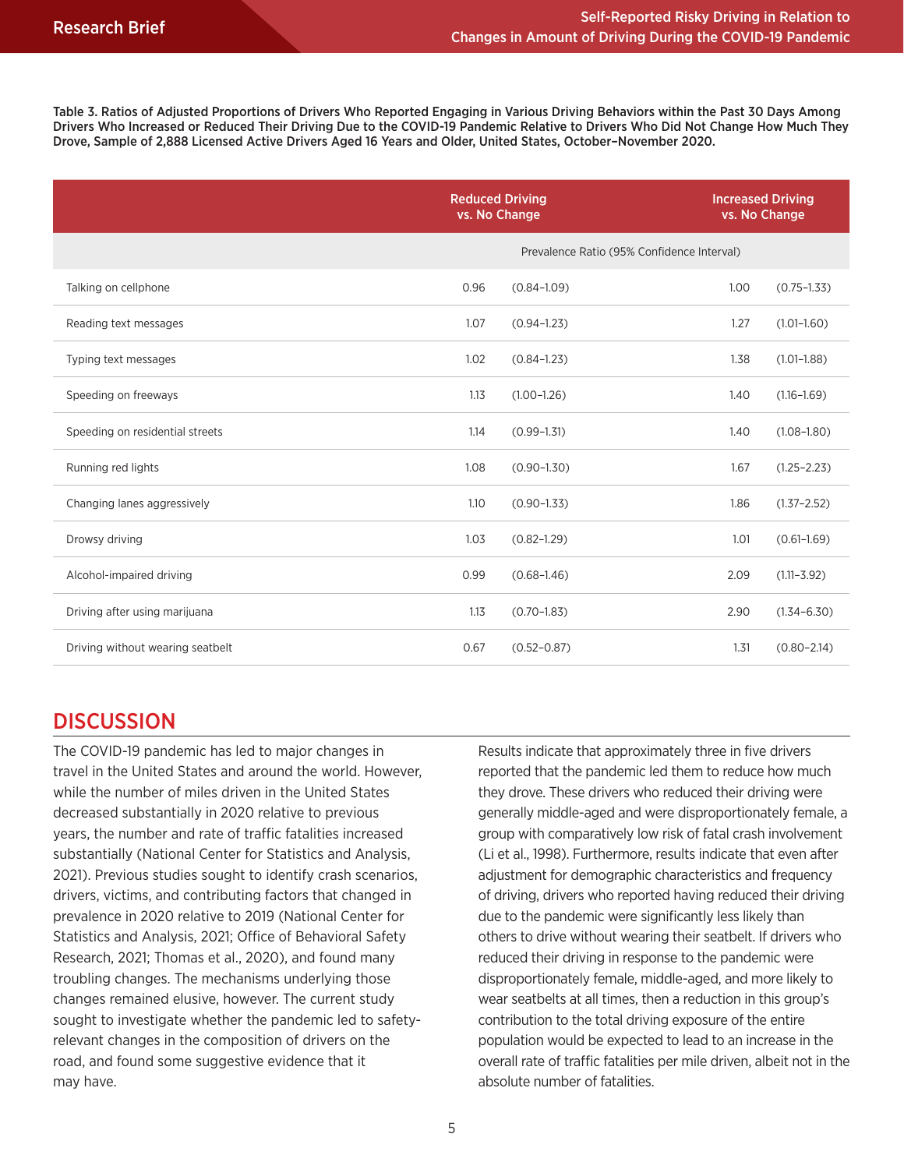Table 3. Ratios of Adjusted Proportions of Drivers Who Reported Engaging in Various Driving Behaviors within the Past 30 Days Among Drivers Who Increased or Reduced Their Driving Due to the COVID-19 Pandemic Relative to Drivers Who Did Not Change How Much They Drove, Sample of 2,888 Licensed Active Drivers Aged 16 Years and Older, United States, October–November 2020.

|                                  | <b>Reduced Driving</b><br>vs. No Change |                                            | <b>Increased Driving</b><br>vs. No Change |                 |
|----------------------------------|-----------------------------------------|--------------------------------------------|-------------------------------------------|-----------------|
|                                  |                                         | Prevalence Ratio (95% Confidence Interval) |                                           |                 |
| Talking on cellphone             | 0.96                                    | $(0.84 - 1.09)$                            | 1.00                                      | $(0.75 - 1.33)$ |
| Reading text messages            | 1.07                                    | $(0.94 - 1.23)$                            | 1.27                                      | $(1.01 - 1.60)$ |
| Typing text messages             | 1.02                                    | $(0.84 - 1.23)$                            | 1.38                                      | $(1.01 - 1.88)$ |
| Speeding on freeways             | 1.13                                    | $(1.00 - 1.26)$                            | 1.40                                      | $(1.16 - 1.69)$ |
| Speeding on residential streets  | 1.14                                    | $(0.99 - 1.31)$                            | 1.40                                      | $(1.08 - 1.80)$ |
| Running red lights               | 1.08                                    | $(0.90 - 1.30)$                            | 1.67                                      | $(1.25 - 2.23)$ |
| Changing lanes aggressively      | 1.10                                    | $(0.90 - 1.33)$                            | 1.86                                      | $(1.37 - 2.52)$ |
| Drowsy driving                   | 1.03                                    | $(0.82 - 1.29)$                            | 1.01                                      | $(0.61 - 1.69)$ |
| Alcohol-impaired driving         | 0.99                                    | $(0.68 - 1.46)$                            | 2.09                                      | $(1.11 - 3.92)$ |
| Driving after using marijuana    | 1.13                                    | $(0.70 - 1.83)$                            | 2.90                                      | $(1.34 - 6.30)$ |
| Driving without wearing seatbelt | 0.67                                    | $(0.52 - 0.87)$                            | 1.31                                      | $(0.80 - 2.14)$ |

### **DISCUSSION**

The COVID-19 pandemic has led to major changes in travel in the United States and around the world. However, while the number of miles driven in the United States decreased substantially in 2020 relative to previous years, the number and rate of traffic fatalities increased substantially (National Center for Statistics and Analysis, 2021). Previous studies sought to identify crash scenarios, drivers, victims, and contributing factors that changed in prevalence in 2020 relative to 2019 (National Center for Statistics and Analysis, 2021; Office of Behavioral Safety Research, 2021; Thomas et al., 2020), and found many troubling changes. The mechanisms underlying those changes remained elusive, however. The current study sought to investigate whether the pandemic led to safetyrelevant changes in the composition of drivers on the road, and found some suggestive evidence that it may have.

Results indicate that approximately three in five drivers reported that the pandemic led them to reduce how much they drove. These drivers who reduced their driving were generally middle-aged and were disproportionately female, a group with comparatively low risk of fatal crash involvement (Li et al., 1998). Furthermore, results indicate that even after adjustment for demographic characteristics and frequency of driving, drivers who reported having reduced their driving due to the pandemic were significantly less likely than others to drive without wearing their seatbelt. If drivers who reduced their driving in response to the pandemic were disproportionately female, middle-aged, and more likely to wear seatbelts at all times, then a reduction in this group's contribution to the total driving exposure of the entire population would be expected to lead to an increase in the overall rate of traffic fatalities per mile driven, albeit not in the absolute number of fatalities.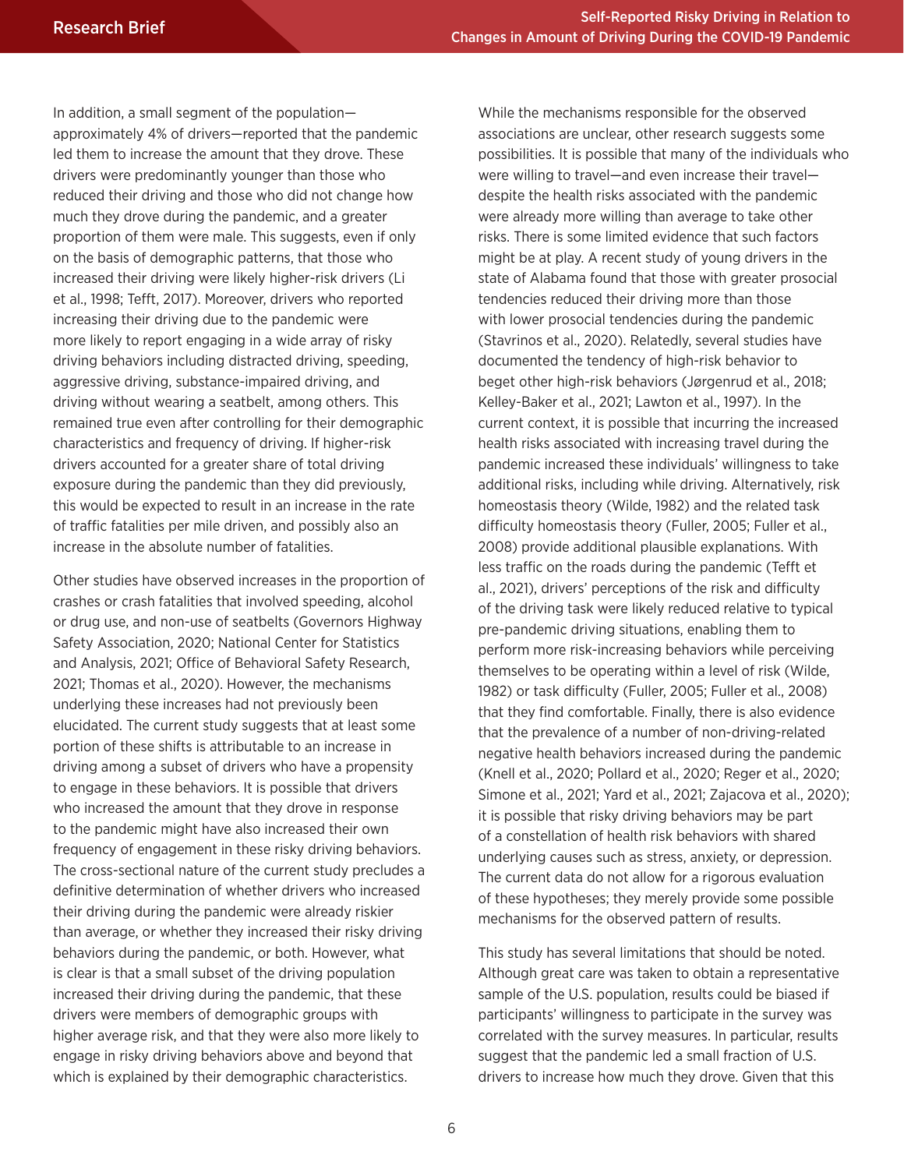In addition, a small segment of the population approximately 4% of drivers—reported that the pandemic led them to increase the amount that they drove. These drivers were predominantly younger than those who reduced their driving and those who did not change how much they drove during the pandemic, and a greater proportion of them were male. This suggests, even if only on the basis of demographic patterns, that those who increased their driving were likely higher-risk drivers (Li et al., 1998; Tefft, 2017). Moreover, drivers who reported increasing their driving due to the pandemic were more likely to report engaging in a wide array of risky driving behaviors including distracted driving, speeding, aggressive driving, substance-impaired driving, and driving without wearing a seatbelt, among others. This remained true even after controlling for their demographic characteristics and frequency of driving. If higher-risk drivers accounted for a greater share of total driving exposure during the pandemic than they did previously, this would be expected to result in an increase in the rate of traffic fatalities per mile driven, and possibly also an increase in the absolute number of fatalities.

Other studies have observed increases in the proportion of crashes or crash fatalities that involved speeding, alcohol or drug use, and non-use of seatbelts (Governors Highway Safety Association, 2020; National Center for Statistics and Analysis, 2021; Office of Behavioral Safety Research, 2021; Thomas et al., 2020). However, the mechanisms underlying these increases had not previously been elucidated. The current study suggests that at least some portion of these shifts is attributable to an increase in driving among a subset of drivers who have a propensity to engage in these behaviors. It is possible that drivers who increased the amount that they drove in response to the pandemic might have also increased their own frequency of engagement in these risky driving behaviors. The cross-sectional nature of the current study precludes a definitive determination of whether drivers who increased their driving during the pandemic were already riskier than average, or whether they increased their risky driving behaviors during the pandemic, or both. However, what is clear is that a small subset of the driving population increased their driving during the pandemic, that these drivers were members of demographic groups with higher average risk, and that they were also more likely to engage in risky driving behaviors above and beyond that which is explained by their demographic characteristics.

While the mechanisms responsible for the observed associations are unclear, other research suggests some possibilities. It is possible that many of the individuals who were willing to travel—and even increase their travel despite the health risks associated with the pandemic were already more willing than average to take other risks. There is some limited evidence that such factors might be at play. A recent study of young drivers in the state of Alabama found that those with greater prosocial tendencies reduced their driving more than those with lower prosocial tendencies during the pandemic (Stavrinos et al., 2020). Relatedly, several studies have documented the tendency of high-risk behavior to beget other high-risk behaviors (Jørgenrud et al., 2018; Kelley-Baker et al., 2021; Lawton et al., 1997). In the current context, it is possible that incurring the increased health risks associated with increasing travel during the pandemic increased these individuals' willingness to take additional risks, including while driving. Alternatively, risk homeostasis theory (Wilde, 1982) and the related task difficulty homeostasis theory (Fuller, 2005; Fuller et al., 2008) provide additional plausible explanations. With less traffic on the roads during the pandemic (Tefft et al., 2021), drivers' perceptions of the risk and difficulty of the driving task were likely reduced relative to typical pre-pandemic driving situations, enabling them to perform more risk-increasing behaviors while perceiving themselves to be operating within a level of risk (Wilde, 1982) or task difficulty (Fuller, 2005; Fuller et al., 2008) that they find comfortable. Finally, there is also evidence that the prevalence of a number of non-driving-related negative health behaviors increased during the pandemic (Knell et al., 2020; Pollard et al., 2020; Reger et al., 2020; Simone et al., 2021; Yard et al., 2021; Zajacova et al., 2020); it is possible that risky driving behaviors may be part of a constellation of health risk behaviors with shared underlying causes such as stress, anxiety, or depression. The current data do not allow for a rigorous evaluation of these hypotheses; they merely provide some possible mechanisms for the observed pattern of results.

This study has several limitations that should be noted. Although great care was taken to obtain a representative sample of the U.S. population, results could be biased if participants' willingness to participate in the survey was correlated with the survey measures. In particular, results suggest that the pandemic led a small fraction of U.S. drivers to increase how much they drove. Given that this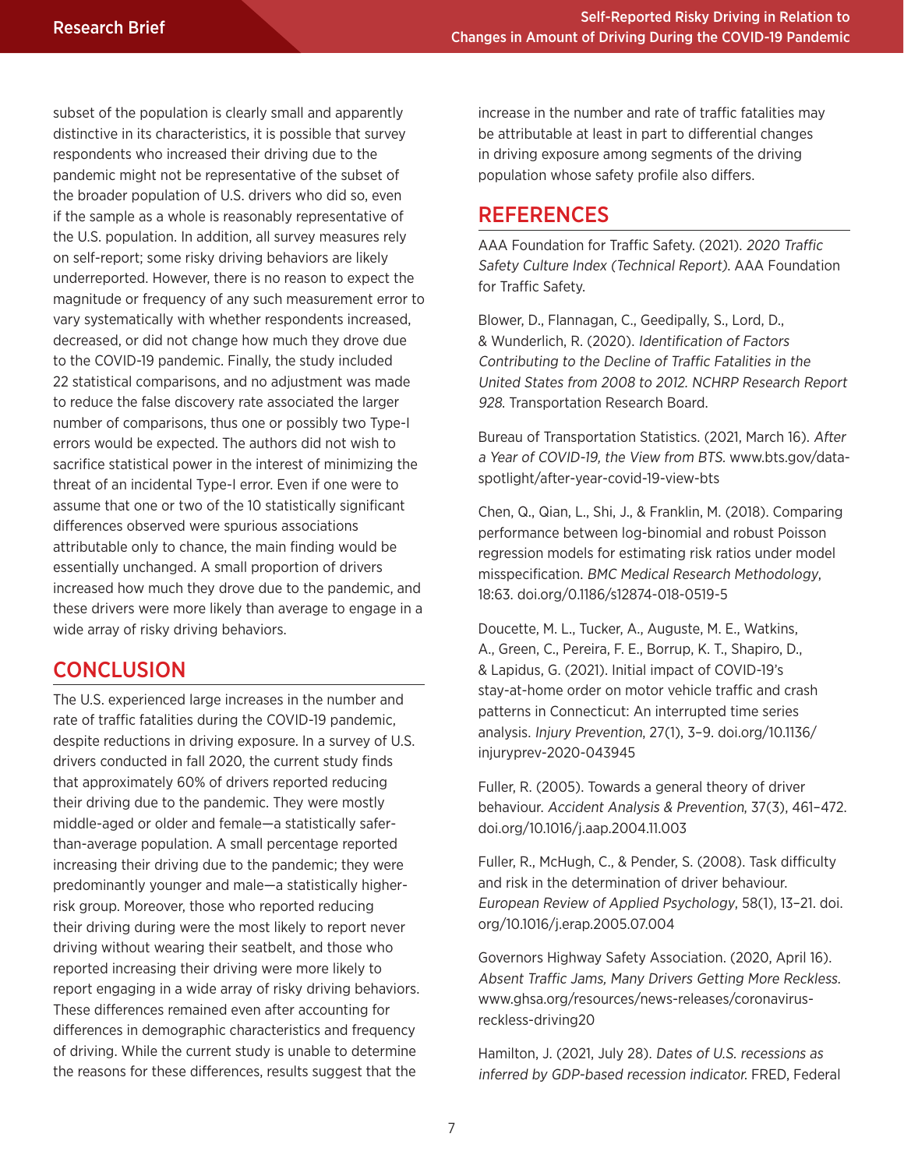subset of the population is clearly small and apparently distinctive in its characteristics, it is possible that survey respondents who increased their driving due to the pandemic might not be representative of the subset of the broader population of U.S. drivers who did so, even if the sample as a whole is reasonably representative of the U.S. population. In addition, all survey measures rely on self-report; some risky driving behaviors are likely underreported. However, there is no reason to expect the magnitude or frequency of any such measurement error to vary systematically with whether respondents increased, decreased, or did not change how much they drove due to the COVID-19 pandemic. Finally, the study included 22 statistical comparisons, and no adjustment was made to reduce the false discovery rate associated the larger number of comparisons, thus one or possibly two Type-I errors would be expected. The authors did not wish to sacrifice statistical power in the interest of minimizing the threat of an incidental Type-I error. Even if one were to assume that one or two of the 10 statistically significant differences observed were spurious associations attributable only to chance, the main finding would be essentially unchanged. A small proportion of drivers increased how much they drove due to the pandemic, and these drivers were more likely than average to engage in a wide array of risky driving behaviors.

### **CONCLUSION**

The U.S. experienced large increases in the number and rate of traffic fatalities during the COVID-19 pandemic, despite reductions in driving exposure. In a survey of U.S. drivers conducted in fall 2020, the current study finds that approximately 60% of drivers reported reducing their driving due to the pandemic. They were mostly middle-aged or older and female—a statistically saferthan-average population. A small percentage reported increasing their driving due to the pandemic; they were predominantly younger and male—a statistically higherrisk group. Moreover, those who reported reducing their driving during were the most likely to report never driving without wearing their seatbelt, and those who reported increasing their driving were more likely to report engaging in a wide array of risky driving behaviors. These differences remained even after accounting for differences in demographic characteristics and frequency of driving. While the current study is unable to determine the reasons for these differences, results suggest that the

increase in the number and rate of traffic fatalities may be attributable at least in part to differential changes in driving exposure among segments of the driving population whose safety profile also differs.

#### **REFERENCES**

AAA Foundation for Traffic Safety. (2021). 2020 Traffic Safety Culture Index (Technical Report). AAA Foundation for Traffic Safety.

Blower, D., Flannagan, C., Geedipally, S., Lord, D., & Wunderlich, R. (2020). Identification of Factors Contributing to the Decline of Traffic Fatalities in the United States from 2008 to 2012. NCHRP Research Report 928. Transportation Research Board.

Bureau of Transportation Statistics. (2021, March 16). After a Year of COVID-19, the View from BTS. www.bts.gov/dataspotlight/after-year-covid-19-view-bts

Chen, Q., Qian, L., Shi, J., & Franklin, M. (2018). Comparing performance between log-binomial and robust Poisson regression models for estimating risk ratios under model misspecification. BMC Medical Research Methodology, 18:63. doi.org/0.1186/s12874-018-0519-5

Doucette, M. L., Tucker, A., Auguste, M. E., Watkins, A., Green, C., Pereira, F. E., Borrup, K. T., Shapiro, D., & Lapidus, G. (2021). Initial impact of COVID-19's stay-at-home order on motor vehicle traffic and crash patterns in Connecticut: An interrupted time series analysis. Injury Prevention, 27(1), 3–9. doi.org/10.1136/ injuryprev-2020-043945

Fuller, R. (2005). Towards a general theory of driver behaviour. Accident Analysis & Prevention, 37(3), 461–472. doi.org/10.1016/j.aap.2004.11.003

Fuller, R., McHugh, C., & Pender, S. (2008). Task difficulty and risk in the determination of driver behaviour. European Review of Applied Psychology, 58(1), 13–21. doi. org/10.1016/j.erap.2005.07.004

Governors Highway Safety Association. (2020, April 16). Absent Traffic Jams, Many Drivers Getting More Reckless. www.ghsa.org/resources/news-releases/coronavirusreckless-driving20

Hamilton, J. (2021, July 28). Dates of U.S. recessions as inferred by GDP-based recession indicator. FRED, Federal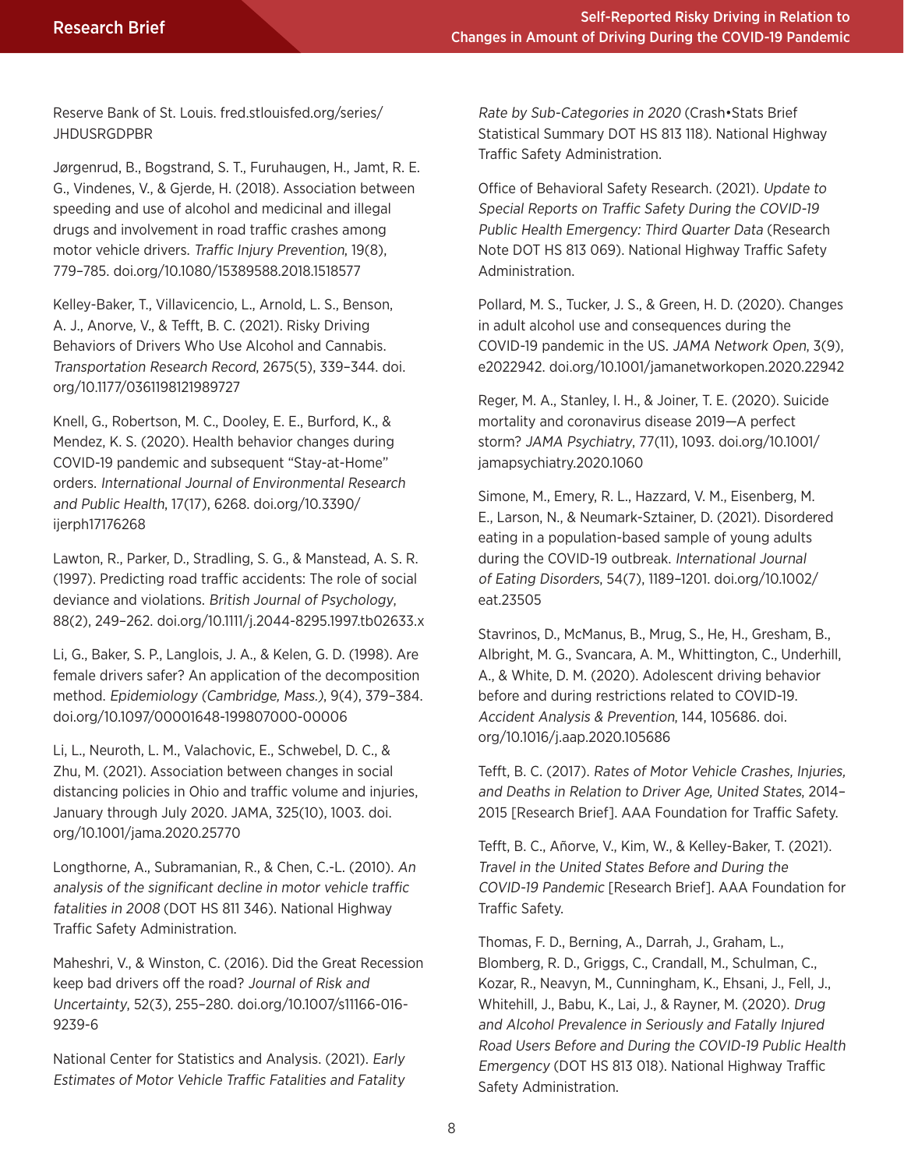Reserve Bank of St. Louis. fred.stlouisfed.org/series/ **JHDUSRGDPBR** 

Jørgenrud, B., Bogstrand, S. T., Furuhaugen, H., Jamt, R. E. G., Vindenes, V., & Gjerde, H. (2018). Association between speeding and use of alcohol and medicinal and illegal drugs and involvement in road traffic crashes among motor vehicle drivers. Traffic Injury Prevention, 19(8), 779–785. doi.org/10.1080/15389588.2018.1518577

Kelley-Baker, T., Villavicencio, L., Arnold, L. S., Benson, A. J., Anorve, V., & Tefft, B. C. (2021). Risky Driving Behaviors of Drivers Who Use Alcohol and Cannabis. Transportation Research Record, 2675(5), 339–344. doi. org/10.1177/0361198121989727

Knell, G., Robertson, M. C., Dooley, E. E., Burford, K., & Mendez, K. S. (2020). Health behavior changes during COVID-19 pandemic and subsequent "Stay-at-Home" orders. International Journal of Environmental Research and Public Health, 17(17), 6268. doi.org/10.3390/ ijerph17176268

Lawton, R., Parker, D., Stradling, S. G., & Manstead, A. S. R. (1997). Predicting road traffic accidents: The role of social deviance and violations. British Journal of Psychology, 88(2), 249–262. doi.org/10.1111/j.2044-8295.1997.tb02633.x

Li, G., Baker, S. P., Langlois, J. A., & Kelen, G. D. (1998). Are female drivers safer? An application of the decomposition method. Epidemiology (Cambridge, Mass.), 9(4), 379–384. doi.org/10.1097/00001648-199807000-00006

Li, L., Neuroth, L. M., Valachovic, E., Schwebel, D. C., & Zhu, M. (2021). Association between changes in social distancing policies in Ohio and traffic volume and injuries, January through July 2020. JAMA, 325(10), 1003. doi. org/10.1001/jama.2020.25770

Longthorne, A., Subramanian, R., & Chen, C.-L. (2010). An analysis of the significant decline in motor vehicle traffic fatalities in 2008 (DOT HS 811 346). National Highway Traffic Safety Administration.

Maheshri, V., & Winston, C. (2016). Did the Great Recession keep bad drivers off the road? Journal of Risk and Uncertainty, 52(3), 255–280. doi.org/10.1007/s11166-016- 9239-6

National Center for Statistics and Analysis. (2021). Early Estimates of Motor Vehicle Traffic Fatalities and Fatality Rate by Sub-Categories in 2020 (Crash•Stats Brief Statistical Summary DOT HS 813 118). National Highway Traffic Safety Administration.

Office of Behavioral Safety Research. (2021). Update to Special Reports on Traffic Safety During the COVID-19 Public Health Emergency: Third Quarter Data (Research Note DOT HS 813 069). National Highway Traffic Safety Administration.

Pollard, M. S., Tucker, J. S., & Green, H. D. (2020). Changes in adult alcohol use and consequences during the COVID-19 pandemic in the US. JAMA Network Open, 3(9), e2022942. doi.org/10.1001/jamanetworkopen.2020.22942

Reger, M. A., Stanley, I. H., & Joiner, T. E. (2020). Suicide mortality and coronavirus disease 2019—A perfect storm? JAMA Psychiatry, 77(11), 1093. doi.org/10.1001/ jamapsychiatry.2020.1060

Simone, M., Emery, R. L., Hazzard, V. M., Eisenberg, M. E., Larson, N., & Neumark-Sztainer, D. (2021). Disordered eating in a population-based sample of young adults during the COVID-19 outbreak. International Journal of Eating Disorders, 54(7), 1189–1201. doi.org/10.1002/ eat.23505

Stavrinos, D., McManus, B., Mrug, S., He, H., Gresham, B., Albright, M. G., Svancara, A. M., Whittington, C., Underhill, A., & White, D. M. (2020). Adolescent driving behavior before and during restrictions related to COVID-19. Accident Analysis & Prevention, 144, 105686. doi. org/10.1016/j.aap.2020.105686

Tefft, B. C. (2017). Rates of Motor Vehicle Crashes, Injuries, and Deaths in Relation to Driver Age, United States, 2014– 2015 [Research Brief]. AAA Foundation for Traffic Safety.

Tefft, B. C., Añorve, V., Kim, W., & Kelley-Baker, T. (2021). Travel in the United States Before and During the COVID-19 Pandemic [Research Brief]. AAA Foundation for Traffic Safety.

Thomas, F. D., Berning, A., Darrah, J., Graham, L., Blomberg, R. D., Griggs, C., Crandall, M., Schulman, C., Kozar, R., Neavyn, M., Cunningham, K., Ehsani, J., Fell, J., Whitehill, J., Babu, K., Lai, J., & Rayner, M. (2020). Drug and Alcohol Prevalence in Seriously and Fatally Injured Road Users Before and During the COVID-19 Public Health Emergency (DOT HS 813 018). National Highway Traffic Safety Administration.